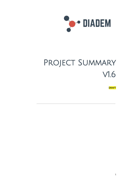

# PROJECT SUMMARY v1.6

**DRAFT**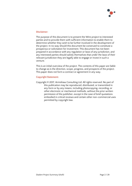

#### **Disclaimer:**

The purpose of this document is to present the Wire project to interested parties and to provide them with sufficient information to enable them to determine whether they wish to be further involved in the development of the project. In no way should this document be construed to constitute a prospectus or solicitation for investment. This document has not been prepared in accordance with any regulation or laws of any jurisdiction, and any interested parties should satisfy themselves that under the laws of their relevant jurisdiction they are legally able to engage or invest in such a venture.

This is an initial overview of the project. The contents of this paper are liable to change as is the direction, scope, progress, and prospects of the project. This paper does not form a contract or agreement in any way.

#### **Copyright Statement:**

Copyright © 2017, Armishaw Consulting Ltd. All rights reserved. No part of this publication may be reproduced, distributed, or transmitted in any form or by any means, including photocopying, recording, or other electronic or mechanical methods, without the prior written permission of the publisher, except in the case of brief quotations embodied in critical reviews and certain other non-commercial uses permitted by copyright law.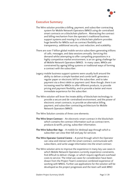

# **Executive Summary**

- The Wire solution provides a billing, payment, and subscriber contracting system for Mobile Network Operators (MNO) using de-centralised smart contracts on a blockchain platform. Abstracting the contract and billing mechanism from the operator's traditional business support systems and moving it to a blockchain platform provides huge benefits for MNOs such as contract flexibility and transparency, additional security, cost reduction, and scalability.
- There are over 7 billion global mobile service subscribers generating trillions of calls, messages, and data sessions annually. Servicing this demand whilst attempting to offer compelling propositions in a highly competitive market environment, is an on-going challenge for all Mobile Network Operators (MNO). In many cases, MNOs are constrained by ageing billing systems or traditional ways of forming a contract with the subscriber.
- Legacy mobile business support systems were usually built around the ability to deliver a simple handset and combi tariff, generate a regular paper or electronic bill for the subscriber, and to take payment via a direct debit or payment card. Now though, there is an increasing need for MNOs to offer different products, to provide pricing and payment flexibility, and to provide a better and more immediate experience for the subscriber.
- The Wire solution will lever the innate ability of blockchain technology to provide a secure and de-centralised environment, and the power of electronic smart contracts, to provide an alternative billing, payment, and subscriber contracting architecture for Mobile Network Operators (MNO).
- The Wire Solution consists of three core elements:
- **The Wire Smart Contract** An electronic smart contract in the blockchain which contains the contract information such as contract term, products & tariffs, pricing, subscriber information.
- **The Wire Subscriber App** A mobile (or desktop) app through which a subscriber can view their bill and pay for services
- **The Wire Operator Control Centre** A portal through which the Operator can view and interact with the smart contract, communicate with subscribers, and write usage information into the smart contract.
- The Wire solution aims to improve the experience in many key use cases in which Mobile Network Operators currently experience constraints, find difficult to deliver change, or which require significant overhead costs to service. The initial use cases for consideration have been drawn from the Project Team's extensive combined experience of working with MNOs. Further use applications for the solution will be developed as the project progresses and the team will seek MNO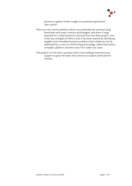

partners to gather further insight into potential operational 'pain-points'.

- There are real-world problems which can potentially be resolved using blockchain and smart contract technologies, and there is huge potential for a solid business to be built from the Wire project. One of the key strengths of Wire is that it has been started by identifying tangible and immediate business problems that it believes can be addressed by current or forthcoming technology, rather than build a 'template' platform and then search for viable use cases.
- The project is in the start-up phase and is now seeking investment and support to grow the team and continue to explore and build the solution.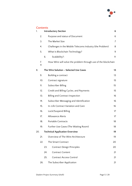

# **Contents**<br> **Contents**

| 1.  |                                       |     | <b>Introductory Section</b>                                   | 6              |
|-----|---------------------------------------|-----|---------------------------------------------------------------|----------------|
|     | 2.                                    |     | Purpose and status of Document                                | 6              |
|     | 3.                                    |     | The Market Size                                               | $\overline{7}$ |
|     | 4.                                    |     | Challenges in the Mobile Telecoms Industry (the Problem)      | 8              |
|     | 5.                                    |     | What Is Blockchain Technology?                                | 9              |
|     |                                       | 6.  | Scalability?:                                                 | 11             |
|     | 7.<br>11                              |     | How Wire will solve the problem through use of the blockchain |                |
| 8.  |                                       |     | The Wire Solution - Selected Use Cases                        | 13             |
|     | 9.                                    |     | Building a contract                                           | 13             |
|     | 10.                                   |     | Contract signature                                            | 15             |
|     | 11.                                   |     | Subscriber Billing                                            | 15             |
|     | 12.                                   |     | Credit and Billing Cycles, and Payments                       | 15             |
|     | 13.                                   |     | <b>Billing and Contract Inspection</b>                        | 16             |
|     | 14.                                   |     | Subscriber Messaging and Identification                       | 16             |
|     | 15.                                   |     | In-Life Contract Variation and Care                           | 16             |
|     | 16.                                   |     | Lock/Suspend Billing                                          | 17             |
|     | 17.                                   |     | <b>Allowance Alerts</b>                                       | 17             |
|     | 18.                                   |     | Portable Contracts                                            | 18             |
|     | 19.                                   |     | Further Use Cases (The Waiting Room)                          | 18             |
| 20. | <b>Technical Application Overview</b> |     |                                                               |                |
|     | 21.                                   |     | Overview of The Wire Architecture                             | 19             |
|     | 22.                                   |     | The Smart Contract                                            | 20             |
|     |                                       | 23. | <b>Contract Design Principles</b>                             | 20             |
|     |                                       | 24. | <b>Contract Content</b>                                       | 21             |
|     |                                       | 25. | <b>Contract Access Control</b>                                | 21             |
|     | 26.                                   |     | The Subscriber Application                                    | 21             |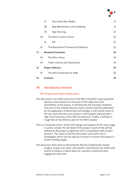

|     |     | 27.       | The Subscriber Wallet                 | 21 |  |
|-----|-----|-----------|---------------------------------------|----|--|
|     |     | 28.       | App Maintenance and Updating          | 21 |  |
|     |     | 29.       | App Skinning                          | 22 |  |
|     | 30. |           | The Wire Control Centre               | 22 |  |
|     |     | 31.       | API                                   | 22 |  |
|     | 32. |           | The Blockchain (Transaction) Platform | 22 |  |
| 33. |     |           | <b>Revenue Ecosystem</b>              | 24 |  |
|     | 34. |           | The Wire Token                        | 24 |  |
|     | 35. |           | Token volume and distribution         | 24 |  |
| 36. |     |           | <b>Project Delivery</b>               |    |  |
|     | 37. |           | The Wire Roadmap for 2018             | 25 |  |
| 38. |     | Contacts. |                                       | 25 |  |

### <span id="page-5-0"></span>**39. Introductory Section**

#### <span id="page-5-1"></span>**39.1.Purpose and status of Document**

- This document is an initial overview of the Wire intended to give potential partners and investors an overview of the objectives and possibilities of the project. It will describe the business problems that exist in the mobile telecoms sector which could be addressed by the application of blockchain technology. It will outline some of the use cases that the wire solution could support and provide a high-level summary of the Wire architecture. Finally, it will give a rough idea of the delivery plan for the Wire project
- This is a 'living document' which will change and expand. At this early stage it cannot contain the full detail of the project; much of this will be defined as the project progresses and in consultation with project partners. The vision is that this document will evolve into a whitepaper which can be used by investors to assess the project in further funding stages.
- The document does seek to demonstrate that the fundamental market insights, project use cases, and solution mechanisms are sufficiently sound to present a robust basis for a positive investment and engagement decision.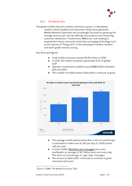

#### <span id="page-6-0"></span>**39.2. The Market Size**

The global mobile telecoms market continues to grow. In developed markets where handset and subscriber levels have plateaued, Mobile Network Operators are increasingly focussed on growing the average revenue per user by offering new products and improving customer satisfaction. Furthermore, MNOs are now looking to expand their future connection base from emerging technology such as the Internet of Things (IoT). In less developed markets, handset and tariff uptake remains strong.

#### Key facts and figures

- Total mobile revenues reached \$1.05 trillion in 2016<sup>1</sup>.
- In 2015, the mobile ecosystem generated 4.2% of global  $GDP<sup>1</sup>$ .
- Operator investments totalled around \$880 billion between 2011 and 2015<sup>1</sup>
- The number of mobile phone Subscribers continues to grow:



- The average mobile phone Subscriber in the U.S and Europe is estimated to make over 8 calls per day or 3,000 phone calls per year
- In June of 2014, 561 billion text [messages](https://www.textrequest.com/blog/texting-statistics-answer-questions/) were sent worldwide, an average of 18.7 billion texts sent every day. This does not include app-to-app 'data' messages
- The amount of data traffic is forecast to continue to grow massively each year:

<sup>&</sup>lt;sup>1</sup> Source: GSMA 'The Mobile Economy' 2017.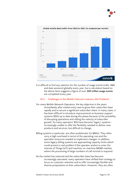



It is difficult to find any statistics for the number of usage events (calls, SMS, and data sessions) globally every year, but a calculation based on the above facts suggests a figure of over **300 trillion usage events** are completed every year.

#### <span id="page-7-0"></span>**39.3. Challenges in the Mobile Telecoms Industry (the Problem)**

- For many Mobile Network Operators, the key objective in the years immediately after market entry was to grow their subscriber base rapidly and to secure a significant subscriber share. In many cases, it has been difficult to introduce improvements to business support systems (BSS) up to date during this phase because of the possibility of disrupting operations and risking the velocity of subscriber growth. So many operators' BSS have become 'legacy' systems – increasingly unable to offer the flexibility needed to deliver new products and services, but difficult to change.
- Billing systems in particular, are often problematic for MNOs. They often carry a high overhead in terms of the operating cost and the specialist resources needed to implement changes. In addition, some legacy billing systems are approaching capacity limits which could present a real problem if the operator wishes to enter the Internet of Things (IoT) and machine-to-machine (M2M) markets where the processing of large numbers of call records is required.
- As the market has matured and the subscriber base has become increasingly saturated, many operators have shifted their strategy to focus on customer retention and to offer increasingly flexible and diverse propositions to their subscribers. However, they are often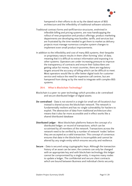

hampered in their efforts to do so by the dated nature of BSS architecture and the inflexibility of traditional software solutions.

- Traditional contract forms and tariff/service structures, enshrined in inflexible billing and pricing systems, are now handicapping the rollout of new proposition and product offerings; product marketing departments are developing new bundles, tariffs, and services but are frustrated by the time needed to get them to market as delivery projects must manage numerous complex system changes to implement even small product improvements.
- In addition to the inflexibility and cost of many BSS systems, their bespoke or proprietary nature results in them often forming 'silos' of data, meaning that it is difficult to extract information and exposing it to other systems. Operators are under increasing pressure to improve the transparency of contracts and ensure their Subscribers are getting value for money. In most countries, there are regulatory targets around the accuracy of billing which can be difficult to meet. Most operators would like to offer better digital tools for customer service and reduce the need for expensive call centres, but are hampered from doing so by the need to integrate with complex BSS systems.

#### <span id="page-8-0"></span>**39.4. What Is Blockchain Technology?**

- Blockchain is a peer-to-peer technology which provides a de-centralised and secure distributed ledger of digital assets.
- **De-centralised** Data is not stored in a single (or small set of) location/s but instead is shared across the blockchain network. The network is fundamentally resilient and has no-single vulnerability for hackers to exploit. The abstraction of data from traditional architecture also means that it also far more accessible and in effect works like a shared distributed database
- **Distributed Ledger** Most blockchain platforms feature the concept of a distributed ledger, or record of transactions, which can be scrutinised by all members of the network. Transactions across the network need to be verified by a number of network 'nodes' before they are accepted as a valid transaction. This concept of consensus ensures that data in the blockchain is incorruptible and cannot be altered by any single entity which ensures security and resilience.
- **Secure** Data is secured using cryptographic keys. Although the transaction history of an asset can be seen, the contents can only be changed with an appropriate key and with blockchain technology this ledger cannot be compromised by a single entity, it requires many nodes to update a ledger, The confidential and secure client contracts which are bound between Business and individual clients securely.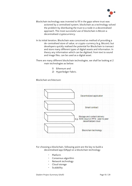

- Blockchain technology was invented to fill in the gaps where trust was actioned by a centralised system, blockchain as a technology solved the problem by distributing the trust to a node in a decentralised approach. The most successful use of blockchain is Bitcoin a decentralised cryptocurrency.
- In its initial iteration, Blockchain was conceived as method of providing a de-centralised store of value, or crypto-currency (e.g. Bitcoin), but developers quickly realised the potential for Blockchain to transact and store many different types of digital assets and information. In theory any information which can be digitised, from text to sound and image files, can be used as a digital asset.
- There are many different blockchain technologies, we shall be looking at 2 main technologies as below:
	- 1) Ethereum and
	- 2) Hyperledger Fabric.

Blockchain architecture:



For choosing a blockchain, following point are the key to build a decentralised app (DApp) on a blockchain technology

- **Platform**
- Consensus algorithm
- Network technology
- Cloud storage
- **Scalability**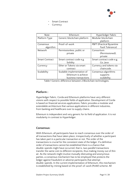

- Smart Contract
- Currency

| <b>Note</b>           | Ethereum                    | Hyperledger Fabric        |  |  |
|-----------------------|-----------------------------|---------------------------|--|--|
| Platform Type         | Generic blockchain platform | Modular blockchain        |  |  |
|                       |                             | platform                  |  |  |
| Consensus             | Proof-of-work               | PBFT (Practical Byzantine |  |  |
| algorithm             |                             | Fault Tolerance)          |  |  |
| <b>Network</b>        | Permissionless, public or   | Consortium                |  |  |
|                       | private                     | (Permissioned),           |  |  |
|                       |                             | private                   |  |  |
| <b>Smart Contract</b> | Smart contract code e.g.    | Smart contract code e.g.  |  |  |
|                       | Solidity                    | Go, Java                  |  |  |
| Currency              | Ether or Tokens via smart   | Currency and tokens via   |  |  |
|                       | contract                    | chaincode.                |  |  |
| Scalability           | Scalable implementation of  | Consensus algorithms      |  |  |
|                       | Ethereum is achieve         | supports                  |  |  |
|                       | business transactions       | scalability.              |  |  |

Table 1 Generic difference between 2 Blockchain technologies.

#### **Platform :**

Hyperledger Fabric, Corda and Ethereum platforms have very different visions with respect to possible fields of application. Development of Corda is based on financial services applications. Fabric provides a modular and extendable architecture that various applications in different industries, from banking and healthcare over to supply chains.

Ethereum is independent and very generic for its field of application. It is not modularity in contrast to Hyperledger.

#### **Consensus:**

With Ethereum, all participants have to reach consensus over the order of all transactions that have taken place, irrespectively of whether a participant has taken part in a particular transaction or not. The order of the transactions is crucial for the consistent state of the ledger. If a definitive order of transactions cannot be established there is a chance that double-spends might have occurred, that is, two parallel transactions transfer the same coin to different recipients, thus making money out of thin air. As the network might involve mutually distrusting and anonymous parties, a consensus mechanism has to be employed that protects the ledger against fraudulent or adverse participants that attempt double-spends. In the current implementation of Ethereum, this mechanism is established by mining based on the proof-of-work (PoW) scheme. All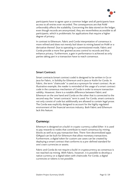

participants have to agree upon a common ledger and all participants have access to all entries ever recorded. The consequences are that PoW unfavorably affects the scalability.Concerning the data stored on the ledger, even though records are anonymized, they are nevertheless accessible to all participants, which is problematic for applications that require a higher degree of privacy.

In contrast to Ethereum, Fabric and Corda interpretation of consensus is more refined and does not merely boil down to mining based on PoW or a derivative thereof. Due to operating in a permissioned mode, Fabric and Corda provide a more fine-grained access control to records and thus enhance privacy. Furthermore, a gain in performance is achieved as only parties taking part in a transaction have to reach consensus.

#### **Smart Contract:**

Smart contracts (smart contract code) is designed to be written in Go or Java for Fabric, in Solidity for Ethereum and in Java or Kotlin for Corda. In Fabric, the term "chaincode" is used as a synonym for smart contract. As an illustrative example, the reader is reminded of the usage of a smart contract code in the consensus mechanism of Corda in order to ensure transaction validity. However, there is a notable difference between Fabric and Ethereum on the one hand and Corda on the other that is connected to the second way the "smart contracts" term is used. For Corda, smart contracts not only consist of code but additionally are allowed to contain legal prose. The Corda was explicitly designed to account for the highly regulated environment of the financial services industry. Both Fabric and Ethereum lack this feature.

#### **Currency:**

Ethereum is designed on a build-in crypto-currency called *Ether*. It is used to pay rewards to nodes that contribute to reach consensus by mining blocks as well as to pay transaction fees. There-fore decentralized apps (DApps) can be built for Ethereum that allow monetary transactions. Furthermore, a digital token for custom use cases can be created by deploying a smart contract that conforms to a pre-defined standard for one's own currencies or assets.

Fabric and Corda do not require a build-in cryptocurrency as consensus is not reached via mining. With Fabric, however, it is possible to develop a native currency or a digital token with chaincode. For Corda, a digital currencies or tokens is not possible..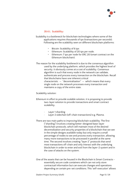

#### **39.4.1. Scalability:**

<span id="page-12-0"></span>Scalability is a bottleneck for blockchain technologies where some of the applications requires thousands of tps (transactions per seconds). Following are the scalability seen on different blockchain platforms:

- Bitcoin: Scalability of 6 tps
- Ethereum: Scalability of 20 tps per node.
- Ethereum: 7 tps per node for ERC 20 (smart contract on the Ethereum blockchain).

The reason for the scalability bottleneck is due to the consensus algorithm used by the underlying platform, which provides the highest level of security, it obviously comes at a cost of scalability. Consensus algorithm is such that every node in the network can validate, authenticate and process every transaction on the blockchain. Recall that blockchains have one inherent critical characteristic  $-$  "decentralization"  $-$  which means that every single node on the network processes every transaction and maintains a copy of the entire state.

#### Scalability solution:

- Ethereum in effort to provide scalable solution, it is proposing to provide two-layer solution to provide transactions and smart contract scalability.
	- Layer 1 sharding
	- Layer 2 sidechain (off-chain transactions) e.g. Plasma.
- There are two main paths to improving blockchain scalability. The first (["sharding"](https://github.com/ethereum/wiki/wiki/Sharding-FAQ)) involves creating better-designed base-layer blockchain protocols, which still maintain most of the desired decentralization and security properties of a blockchain that we see in the simple designs available today but only require a small percentage of nodes to see and process every transaction, allowing many more transactions to be processed in parallel at the same time. The second involves creating "layer 2" protocols that send most transactions off-chain and only interact with the underlying blockchain in order to enter and exit from the layer-2 system and in the case of attacks on the system.
- One of the assets that can be housed in the Blockchain is Smart Contracts essentially secure code containers which can not only store contractual information but can execute changes and operations depending on certain pre-set conditions. This 'self-execution' allows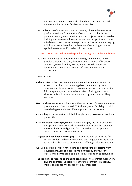

the contracts to function outside of traditional architecture and therefore to be far more flexible and accessible.

The combination of the accessibility and security of Blockchain network platforms with the functionality of smart contracts has huge potential in many areas. Previously many projects have focussed on building the core Blockchain and Smart Contract platforms, but as this development matures new projects such as Wire are emerging which can look at how this combination of technologies can be applied to solve specific real-world problems.

#### <span id="page-13-0"></span>**39.5. How Wire will solve the problem through use of the blockchain**

The Wire solution applies blockchain technology to overcome many problems around the cost, flexibility, and scalability of business support systems faced by MNOs, and to provide extensive opportunities to enhance product offerings and customer experience.

#### These include:

- **A shared view** the smart contract is abstracted from the Operator and exists on the blockchain allowing direct interaction by both Operator and Subscriber. Both parties can inspect the contract for full transparency and have a shared view of billing and contract situation; this will reduce misunderstandings and reduce billing enquiries.
- **New products, services and bundles** The abstraction of the contract from proprietary and 'hard-wired' BSS allows greater flexibility to build new deal types and offer different products to customers.
- **Easy billing** The Subscriber is billed through an app. No need to send out paper bills.
- **Easy and instant secure payments** Subscribers pay their bills directly in the app. Payments are made via the blockchain and the Operator receives the balance lightning fast. There shall be an option for secure payments via cryptocurrency.
- **Targeted and conditional messaging** The contract can be analysed for certain product and usage conditions, and targeted messaging sent to the subscriber app to promote new offerings, offer top-ups, etc.
- **A scalable solution** freeing the billing and contracting processing from physical hardware and constraints significantly improves the Operators ability to scale to explore new expansion opportunities.
- **The flexibility to respond to changing conditions** the contract mechanism give the operator the ability to change the contract to meet new market challenges and respond to new prospects.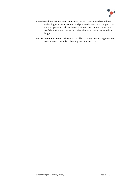

- **Confidential and secure client contracts –** Using consortium blockchain technology i.e. permissioned and private decentralised ledgers, the mobile operator shall be able to maintain the contract complete confidentiality with respect to other clients on same decentralised ledgers.
- **Secure communications –** The DApp shall be securely connecting the Smart contract with the Subscriber app and Business app.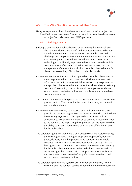

# <span id="page-15-0"></span>**40. The Wire Solution – Selected Use Cases**

Using its experience of mobile telecoms operations, the Wire project has identified several use cases. Further cases will be considered as a result of the project's collaboration with MNO partners.

#### <span id="page-15-1"></span>**40.1. Building a contract**

- Building a contract for a Subscriber will be easy using the Wire Solution. The solution allows simple tariff and product structures to be built directly into the Smart Contract. Whilst this simplification will challenge the complex interdependent tariff and usage relationships that many Operators have been bound to use by current BSS technology, it will hugely improve the flexibility to provide mobile contracts which offer better value for their customers, and the transparency of the solution will allow the Subscriber to have a far clearer understanding of how their mobile plan works.
- When the Wire Subscriber App is first opened on the Subscriber's device, they are presented with a start-up wizard. The user enters basic information including some straightforward security responses and the app then checks whether the Subscriber already has an existing contract. If no existing contract is found, the app creates a blank smart contract on the Blockchain and populates it with some basic contact information.
- The contract contains two key parts; the smart contract which contains the product and tariff structure for the subscriber's deal; and general terms and conditions.
- When the Subscriber is ready to discuss a deal with an Operator, they provide the Operator Agent with the Operator key. This can be done by exposing a QR code to the Agent when in a face-to-face situation, e.g. a retail conversation, or by sending a secure message to the agent via the app. Using the Operator Key, the agent now has the ability to inspect their existing contract and offer a better deal for the Subscriber.
- The Operator Agent can then build a deal directly with the customer using the Wire Agent Tool. The Agent drags and drops tariffs, booster packs, devices, and other products and services into a sample contract – a facsimile of a real contract showing exactly what the final agreement will contain. This is then sent to the Subscriber App for the Subscriber to consider. When a deal has been agreed, the customer signs the contract using their private Subscriber key and the deal is transposed from the 'sample' contract into the actual smart contract on the Blockchain.
- The Operator's provisioning systems are informed automatically via the Wire API and the contract can be inspected to obtain the necessary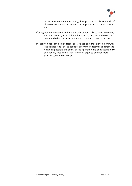

set-up information. Alternatively, the Operator can obtain details of all newly contracted customers via a report from the Wire search tool.

- If an agreement is not reached and the subscriber clicks to reject the offer, the Operator Key is invalidated for security reasons. A new one is generated when the Subscriber next re-opens a deal discussion.
- In theory, a deal can be discussed, built, signed and provisioned in minutes. The transparency of the contract allows the customer to obtain the best deal possible and ability of the Agent to build contracts rapidly and flexibly means that Operators can begin to offer far more tailored customer offerings.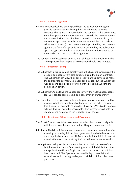

#### <span id="page-17-0"></span>**40.2. Contract signature**

- When a contract deal has been agreed both the Subscriber and agent provide specific approval using the Subscriber app to form a contract. This approval is recorded in the contract with a timestamp. Both the Operator and Subscriber must provide their keys to record this approval. The Subscriber key is provided automatically by the Subscriber app (after the Subscriber has entered their pin code as additional validation). The Operator key is provided by the Operator agent in the form of a QR code which is scanned by the Subscriber app. The QR code would also provide additional information to be recorded in the contract, such as agent ID.
- The contract is enforceable as soon as it is validated in the blockchain. The whole process from approval to validation should take minutes.

#### <span id="page-17-1"></span>**40.3. Subscriber Billing**

- The Subscriber bill is calculated directly within the Subscribe App using the product and usage event data extracted from the Smart Contract. The Subscriber can view their bill directly on their device and make the appropriate payment. No paper bill is issued, but the Subscriber App can send an electronic version of the Bill to the Subscriber's e-mail as an option.
- The Subscriber App allows the Subscriber to view their allowances, usage, top-ups, etc. for complete bill and consumption transparency
- The Operator has the option of including helpful notes against each tariff or product which may explain why it appears on the bill in the way that it does. For example, 'If you don't have our Worldwide Roaming add-on, this call might be chargeable.' This messaging will help to reduce billing enquiries to the Operator's call centre.

#### <span id="page-17-2"></span>**40.4. Credit and Billing Cycles, and Payments**

- The Smart Contract contains two values (set when the contract is signed) which determine the mechanism for billing and customer credit.
- **Bill Limit** The bill limit is a numeric value which sets a maximum time after a weekly or monthly bill has been generated by which the customer must pay the balance of the bill. For example, if the bill limit is set at 4 weeks the customer must pay their bill within 4 calendar weeks.
- The application will provide reminders when 50%, 75%, and 90% of the limit has expired, and a final warning at 95%. If the bill limit expires, the application will set a flag in the contract to report the limit has been breached. The Operator can use this flag to search for all subscribers which have gone beyond their bill limit for collections purposes.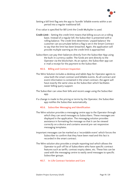

Setting a bill limit flag sets the app to 'bundle' billable events within a set period into a regular traditional bill.

If no value is specified for Bill Limit the Credit Multiplier is used.

- **Credit Limit** Setting the credit limit means that billing occurs on a rolling basis. Instead of a regular bill, the Subscriber is presented with a rolling balance. The credit limit determines 'unpaid balance' the customer can accumulate before a flag is set in the Smart Contract to say that the limit has been breached. Again, the application will provide multiple warning as the credit limit is approached.
- Subscribers can pay their balances directly from the Subscriber App using the built-in currency wallet. The funds are sent directly to the Operator via the blockchain. As an option, the Subscriber app can e-mail a receipt for the payment to the Subscriber.

#### <span id="page-18-0"></span>**40.5. Billing and Contract Inspection**

- The Wire Solution includes a desktop and tablet App for Operator agents to view both the smart contract and billable events. As all contract and event information is contained in the smart contract, the agent will have exactly the same view as the Subscriber which facilitates easier billing query support.
- The Subscriber can view their bills and recent usage using the Subscriber app.
- If a change is made to the pricing or terms by the Operator, the Subscriber app notifies the Subscriber automatically.

#### <span id="page-18-1"></span>**40.6. Subscriber Messaging and Identification**

- The Wire solution provides a messaging centre app to the Operator through which they can send messages to Subscribers. These messages are displayed in the application. The messaging solution provides assistance in formatting the message so that it can be viewed correctly on a device and contains several pre-set responsive messaging templates.
- Important messages can be marked as a 'recordable event' which forces the Subscriber to confirm that they have been read and this fact is recorded in the smart contract.
- The Wire solution also provides a simple reporting tool which allows the Operator to pull-off list of Subscribers who have specific contract features such as tariffs, contract expiry dates, etc. These lists can be used with the messaging centre to easily send messages to specific Subscriber groups.

#### <span id="page-18-2"></span>**40.7. In-Life Contract Variation and Care**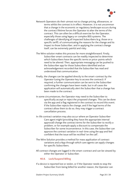

- Network Operators do their utmost not to change pricing, allowances, or terms whilst the contract is in effect. However, it is not uncommon that a change in the economic or regulatory landscape occurs during the contract lifetime forces the Operator to alter the terms of the contract. This can often be a difficult exercise for the Operator, especially those using legacy or complex BSS systems. The challenges of identifying all impacted Subscribers (e.g. those on a specific tariff), of communicating the reasons for the change and its impact to those Subscriber, and in applying the contract change itself, can be extremely painful and risky.
- The Wire solution makes this process far more straightforward. Firstly, Subscriber smart contracts can be readily inspected to determine which Subscribers have the specific terms or price-points which need to be altered. Then, appropriate messaging can be pushed to the Subscriber app for those Subscribers identified and an acknowledgement recorded that the Subscriber has read and understood that communication.
- Finally, the changes can be applied directly to the smart-contract by the Operator (using the Operator key to access the contract). If required, a further communication can be sent to the Subscriber confirming the changes have been made, but in all cases the application will automatically alert the Subscriber that a change has been made to the contract.
- In some circumstances, the Operator may need to the Subscriber to specifically accept or reject the proposed changes. This can be done via the app and a flag registered in the contract to record this event. If the Subscriber rejects the change, and if the legal terms of the contract allow them to do so, they may trigger a contract cancellation process.
- In-life contract variation may also occur where an Operator Subscriber Care agent might (providing they have the appropriate internal approval) change the contract terms for the Subscriber to rectify a problem, or for example apply a discount to compensate the Subscriber for some inconvenience. In this case, the Subscriber can approve the contract variation in real-time using the app and feel confident that the issue will be rectified 'on the call'.
- The Wire Solution provides a method for mass application of contract variations and a App through which care agents can apply changes for specific Subscribers.
- All contract changes are logged in the smart-contract and can be viewed by either the Operator or Subscriber.

#### <span id="page-19-0"></span>**40.8. Lock/Suspend Billing**

If a device is reported lost or stolen, or if the Operator needs to stop the Subscriber from being billed for another reason, the Operator can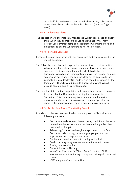

set a 'lock' flag in the smart contract which stops any subsequent usage events being billed in the Subscriber app (until the flag is reset).

#### <span id="page-20-0"></span>**40.9. Allowance Alerts**

The application will automatically monitor the Subscriber's usage and notify them when they approach their usage allowance limit. This will prevent users overspending and support the Operators efforts and obligations to ensure Subscribers do not fall into debt.

#### <span id="page-20-1"></span>**40.10. Portable Contracts**

- Because the smart contract is both de-centralised and is 'electronic' it is far more transparent.
- The Subscriber can choose to expose the contract terms to other parties who can scrutinise their contract duration, allowances, and pricing, and who may be able to offer a better deal. To do this the Subscriber would unlock their application, visit the relevant contract screen, and opt to show the contract details. The app would then generate a Quick Reader (QR) code which could be scanned by the third-party. The QR would direct to a secure file which would provide contract and pricing information.
- This case facilitates better competition in the market and ensures contracts to ensure that the Operator is providing the best value for the Subscriber. This is key industry issue in many countries with regulatory bodies placing increasing pressure on Operators to improve the transparency, simplicity and fairness of contracts.

#### <span id="page-20-2"></span>**40.11. Further Use Cases (The Waiting Room)**

In addition to the use cases outlined above, the project will consider the following functions:

- Contract cancellation/termination (using conditional checks to determine whether a contract can be ended any subscriber cancellation charge)
- Advertising/promotion through the app based on the Smart Contract conditions, e.g. promoting a top-up as the user approaches their usage allowance cap.
- On demand premium content ordering and unlock.
- Credit checking using information from the smart contract
- Porting process initiation
- **Out of Allowance Alerting**
- Know Your Customer (KYC) and Data Protection (DPA) information – capture through the app and storage in the smart contract
- eSIM integration/interoperability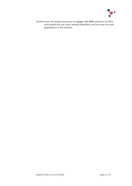

Furthermore, the project proposes to engage with MNO partners to refine and expand the use cases already identified, and to scope out new applications of the solution.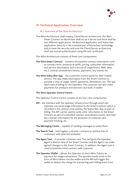

# <span id="page-22-0"></span>**41. Technical Application Overview**

#### <span id="page-22-1"></span>**41.1. Overview of The Wire Architecture**

The Wire Architecture shall employ Client/Server architecture, the Wire Smart Contract on blockchain shall act as a Server and there shall be two different applications, the Business application and Subscriber application. Security is the essential part of blockchain technology and to meet the security and trust the Client/Server architecture shall use mutual authentication using PKI and certificates.

The Wire Architecture consists of three core components:

- **The Wire Smart Contract** contains the baseline contract information such as contract term, products & tariffs, pricing, subscriber information, and service information, and a record of usage (voice, SMS, data, etc.), contract amendment history, payments, key events, etc.
- **The Wire Subscriber App** the customers control panel for their mobile service. The app reads information from the Smart Contract to provide a view of usage, spend, payments, allowances, etc. The app takes care of billing for the Operator. The customer can also make payments for products and services via a built-in wallet.

#### **The Wire Operator Control Centre** –

The Operator Control Centre consists of are four core components**:**

- **API -** the interface with the operator infrastructure through which the Operator can send usage information to the Smart Contract which is recorded in the contract and used by the Subscriber App as part of billing. The API can be used to write other information to the Smart Contract as part of controlled contract amendment events, and read key contract information for the purposes of customer care, payment tracking, etc.
- **The Messaging Centre –** capable of sending messages to subscribers.
- **The Search Tool –** interrogates customer contracts to retrieve lists of customers with selected attributes
- **The Agent Tool –** to provide customer care. The tool gives the Operator Agent a shared view of the Smart Contract and the Agent can make agreed changes to the Smart Contract. In addition, the Agent tool is used to build the initial contract with customer.
- **The Operator Wallet –** allows the Operator to store Wire Tokens as payment for usage transactions. The operator loads funds in the form of Wire tokens into the wallet and the API will trigger the wallet to deduct the charge for transacting each billing event from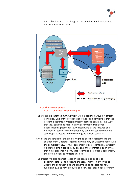



the wallet balance. The charge is transacted via the blockchain to the corporate Wire wallet.

#### <span id="page-23-1"></span><span id="page-23-0"></span>**41.2.The Smart Contract 41.2.1. Contract Design Principles**

- The intention is that the Smart Contract will be designed around Ricardian principles. One of the key benefits of Ricardian contracts is that they present electronic, cryptographically-secured contracts, in a way that they can still be read in a similar format to traditional paper-based agreements, i.e. whilst having all the features of a blockchain-based smart contract they can be outputted with the same legal structure and terminology as current contracts.
- One of the challenges for the project might be possible resistance to the solution from Operator legal teams who may be uncomfortable with the completely new form of agreement type presented by a straight blockchain smart contract. By designing the contract in such a way that it still presents in a way that resembles a traditional agreement, the project hopes to mitigate this risk.
- The project will also attempt to design the contract to be able to accommodate in-life structure changes. This will allow Wire to update the contract fields and schema to be adapted for new functionality, and new products and services that an operator may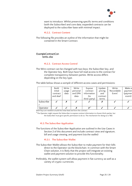

want to introduce. Whilst preserving specific terms and conditions (with the Subscriber) and core data, expanded contracts can be deployed to the subscriber base with minimal impact.

#### **41.2.2. Contract Content**

<span id="page-24-0"></span>The following file provides an outline of the information that might be contained in the Smart Contract.

#### ExampleContractCon tents.xlsx

#### **41.2.3. Contract Access Control**

<span id="page-24-1"></span>The Wire contract can be changed with two keys; the Subscriber key, and the Operator key. Both keys have full read access to the contract for complete transparency between parties. Write access differs depending on the key type.

The table below shows a *sample* of different access cases and permissions:

|           | <b>Build</b><br>initial<br>contract<br>and deal <sup>1</sup> | Write<br>usage<br>data | Write<br>personal<br>and DPA<br>data | Expose<br>contract<br>information<br>(to<br>third-party) | Update<br>pricing<br>and<br>contract<br>terms | Write<br>'Recordable<br>Event' | Make al<br>paymen<br>(paymer<br>event) |
|-----------|--------------------------------------------------------------|------------------------|--------------------------------------|----------------------------------------------------------|-----------------------------------------------|--------------------------------|----------------------------------------|
| Subscribe |                                                              |                        |                                      |                                                          |                                               |                                |                                        |
| Operator  |                                                              |                        |                                      | γZ                                                       |                                               |                                |                                        |

<sup>1</sup>Both keys are needed to build the initial deal and form the contract.

 $^{\text{2}}$  The Operator might request the Subscriber to expose contract information to chosen third-parties, but the Subscriber must give specific permission to do so. The mechanism for doing so is TBD.

#### <span id="page-24-2"></span>**41.3.The Subscriber Application**

The functions of the Subscriber Application are outlined in the Use Cases in Section 2 of this document and include contract view and signature, bill and usage viewing, and payment (via the wallet)

#### **41.3.1. The Subscriber Wallet**

<span id="page-24-3"></span>The Subscriber Wallet allows the Subscriber to make payment for their bills direct to the Operator via the blockchain. In common with the Smart Chain solution, it is likely that the project will integrate an existing wallet and payment solution to provide this functionality.

Preferably, the wallet system will allow payment in fiat currency as well as a variety of crypto-currencies.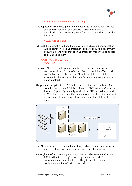

#### **41.3.2. App Maintenance and Updating**

<span id="page-25-0"></span>The application will be designed so that updates to introduce new features and optimisations can be made easily over the air (or via a download) without losing any key information such a keys or wallet balances.

#### **41.3.3. App Skinning**

<span id="page-25-1"></span>Although the general layout and functionality of the Subscriber Application will be common to all Operators, the app will allow the deployment of custom branding so that each Operator can make the app appear to be unique to them.

#### <span id="page-25-3"></span><span id="page-25-2"></span>**41.4.The Wire Control Centre 41.4.1. API**

- The Wire API provides the primary method for interfacing an Operator's core Network and Business Support Systems with the Wire smart contract on the blockchain. The API will translate usage data provided by the Operators 'back-end' systems and write it into the Smart Contract.
- Usage data is supplied to the API in the form of unique (de-duplicated) and complete (non-partial) Call Data Records (CDR) from the Operators Business Support Systems. Typically, these CDRs would be served in ASN.1 format but some Operators may use an alternative standard or proprietary format, in which case customisation of the API will be required.



The API also serves as a conduit for writing/reading contract information as part of customer care and contract amendment operation.

Although the API allows straightforward integration between the Operator BSS, it will not be a plug'n'play component as each MNOs architecture and data standards is likely to be different and configuration of the API will be needed.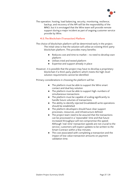

The operation, hosting, load balancing, security, monitoring, resilience, backup, and recovery of the API will be the responsibility of the MNO, but it is envisaged that the Wire team will provide remote support during a major incident as part of ongoing customer service provide by Wire.

#### <span id="page-26-0"></span>**41.5.The Blockchain (Transaction) Platform**

The choice of blockchain platform will be determined early in the project. The initial view is that the solution will utilise an existing third-party blockchain platform. This provides many benefits:

- Reduces cost and time to market no need to develop own platform
- Utilises tried and tested platform
- Expertise and support already in place

However, it is possible that the project may have to develop a proprietary blockchain if a third-party platform which meets the high-level solution requirements cannot be identified.

Primary considerations in choosing the platform will be:

- The platform must be able to support the Wire smart contact and dual key solution
- The platform must be able to support high-numbers of simultaneous transactions
- The platform must be capable of scaling significantly to handle future volumes of transactions.
- The ability to identify rejected (invalidated) write operations should be established
- The platform developers should have clear support processes, resources, and infrastructure defined.
- The project team need to be assured that the transactions can be processed in a 'reasonable' time and that future increased throughput will not compromise this speed. Although 'real-time' transaction speeds are not crucial to the service, customers will expect updates to be written to the Smart Contract within a few minutes.
- The cost associated with completing a transaction and the impact of low value transaction amounts on payment validation time.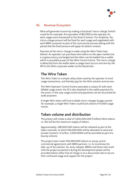

## <span id="page-27-0"></span>**42. Revenue Ecosystem**

Wire will generate income by making a fractional 'micro-charge' (which could be for example, the equivalent of \$0.005) to the operator for each usage event transacted to the Smart Contract. For simplicity, the micro-charge amount will be fixed for each usage and negotiated with each MNO customer as part of the commercial process (along with the period that the fixed amount will apply for before review).

Payment of the micro-charge is made using the Wire Token (see below). An operator can purchase wire tokens on the open market (via a cryptocurrency exchange) and the token can be loaded into a wallet which is provided as part of the Wire Control Centre. The micro-charge is deducted from the wallet when a usage event occurs and sent by the API to the Wire corporate wallet via the blockchain.

# <span id="page-27-1"></span>**The Wire Token**

The Wire Token is a simple utility token used by the operator to fund usage transactions, and thereby pay for the Wire solution and service.

The Wire Operator Control Centre associates a unique ID with each billable usage event, the ID is also attached to the wallet payment for the event. In this way usage events and payments can be reconciled for audit purposes.

A single Wire token will fund multiple micro-charges (usage events). For example, a single Wire Token could fund a block of 10,000 usage events.

# <span id="page-27-2"></span>**Token volume and distribution**

The project will create a total of 1,000,000,000 (1 billion) Wire tokens, i.e. this will be the maximum supply of tokens.

Approximately, 548,000,000 tokens will be released as part of the token mainsale, of which 150,000,000 will be allocated to seed and private investers. A further, 2,000,0000 will be provided as part of a bounty scheme.

The project team retain 100,000,000 tokens to 'pump-prime' commercial agreements with MNO partners, i.e. to incentivise the take-up of the solution. So, early-adopter MNOs and those who work with the project as partners during the development phase will be provided tokens either free of charge or at a discounted rate to secure their continued usage and support for the project.